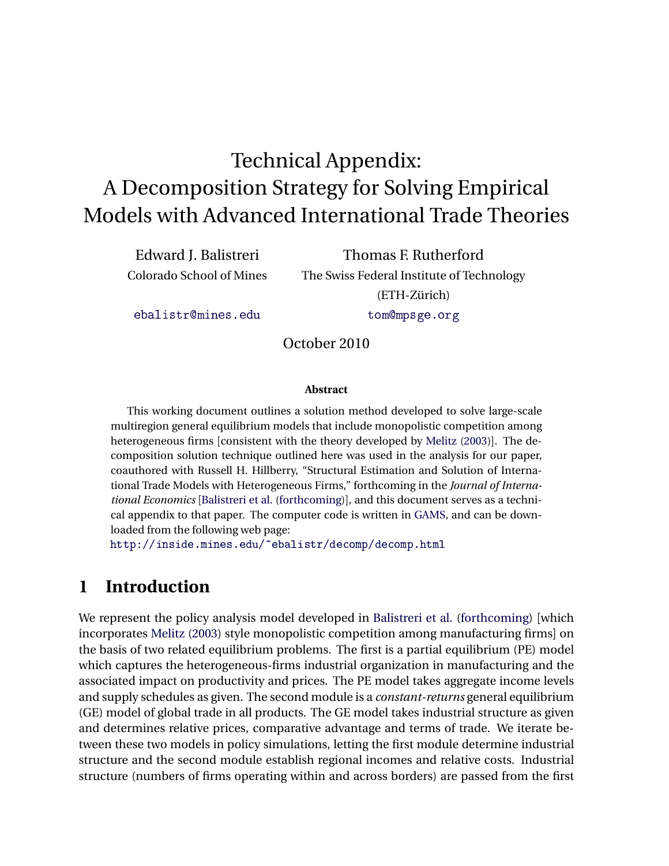# Technical Appendix: A Decomposition Strategy for Solving Empirical Models with Advanced International Trade Theories

Edward J. Balistreri Colorado School of Mines

Thomas F. Rutherford The Swiss Federal Institute of Technology (ETH-Zürich) [tom@mpsge.org](mailto:tom@mpsge.org)

[ebalistr@mines.edu](mailto:ebalistr@mines.edu)

October 2010

#### **Abstract**

This working document outlines a solution method developed to solve large-scale multiregion general equilibrium models that include monopolistic competition among heterogeneous firms [consistent with the theory developed by [Melitz](#page-9-0) [\(2003\)](#page-9-0)]. The decomposition solution technique outlined here was used in the analysis for our paper, coauthored with Russell H. Hillberry, "Structural Estimation and Solution of International Trade Models with Heterogeneous Firms," forthcoming in the *Journal of International Economics* [[Balistreri et al.](#page-9-1) [\(forthcoming\)](#page-9-1)], and this document serves as a technical appendix to that paper. The computer code is written in [GAMS,](http://www.gams.com/) and can be downloaded from the following web page:

<http://inside.mines.edu/~ebalistr/decomp/decomp.html>

# **1 Introduction**

We represent the policy analysis model developed in [Balistreri et al.](#page-9-1) [\(forthcoming\)](#page-9-1) [which incorporates [Melitz](#page-9-0) [\(2003\)](#page-9-0) style monopolistic competition among manufacturing firms] on the basis of two related equilibrium problems. The first is a partial equilibrium (PE) model which captures the heterogeneous-firms industrial organization in manufacturing and the associated impact on productivity and prices. The PE model takes aggregate income levels and supply schedules as given. The second module is a *constant-returns* general equilibrium (GE) model of global trade in all products. The GE model takes industrial structure as given and determines relative prices, comparative advantage and terms of trade. We iterate between these two models in policy simulations, letting the first module determine industrial structure and the second module establish regional incomes and relative costs. Industrial structure (numbers of firms operating within and across borders) are passed from the first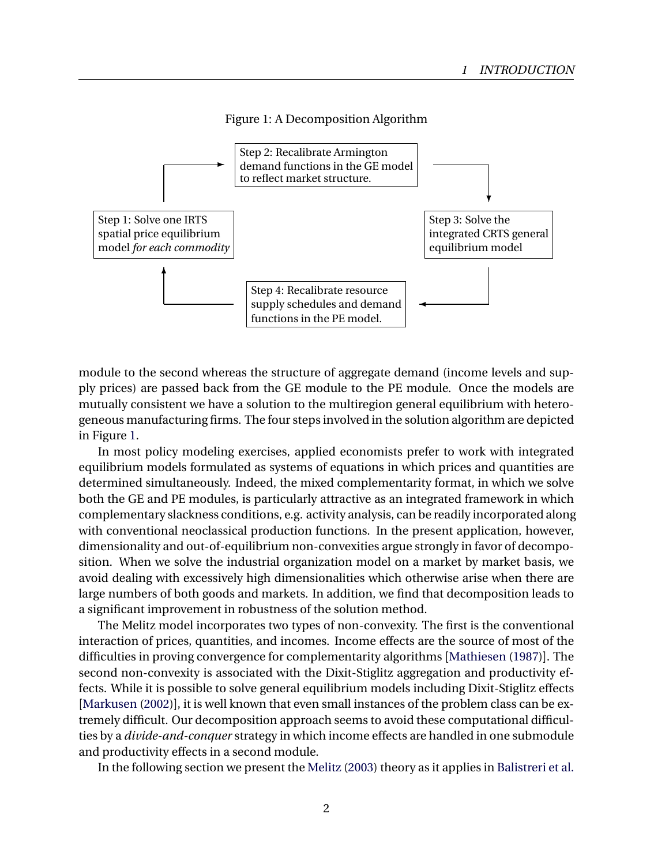#### <span id="page-1-0"></span>Figure 1: A Decomposition Algorithm



module to the second whereas the structure of aggregate demand (income levels and supply prices) are passed back from the GE module to the PE module. Once the models are mutually consistent we have a solution to the multiregion general equilibrium with heterogeneous manufacturing firms. The four steps involved in the solution algorithm are depicted in Figure [1.](#page-1-0)

In most policy modeling exercises, applied economists prefer to work with integrated equilibrium models formulated as systems of equations in which prices and quantities are determined simultaneously. Indeed, the mixed complementarity format, in which we solve both the GE and PE modules, is particularly attractive as an integrated framework in which complementary slackness conditions, e.g. activity analysis, can be readily incorporated along with conventional neoclassical production functions. In the present application, however, dimensionality and out-of-equilibrium non-convexities argue strongly in favor of decomposition. When we solve the industrial organization model on a market by market basis, we avoid dealing with excessively high dimensionalities which otherwise arise when there are large numbers of both goods and markets. In addition, we find that decomposition leads to a significant improvement in robustness of the solution method.

The Melitz model incorporates two types of non-convexity. The first is the conventional interaction of prices, quantities, and incomes. Income effects are the source of most of the difficulties in proving convergence for complementarity algorithms [[Mathiesen](#page-9-2) [\(1987\)](#page-9-2)]. The second non-convexity is associated with the Dixit-Stiglitz aggregation and productivity effects. While it is possible to solve general equilibrium models including Dixit-Stiglitz effects [[Markusen](#page-9-3) [\(2002\)](#page-9-3)], it is well known that even small instances of the problem class can be extremely difficult. Our decomposition approach seems to avoid these computational difficulties by a *divide-and-conquer* strategy in which income effects are handled in one submodule and productivity effects in a second module.

In the following section we present the [Melitz](#page-9-0) [\(2003\)](#page-9-0) theory as it applies in [Balistreri et al.](#page-9-1)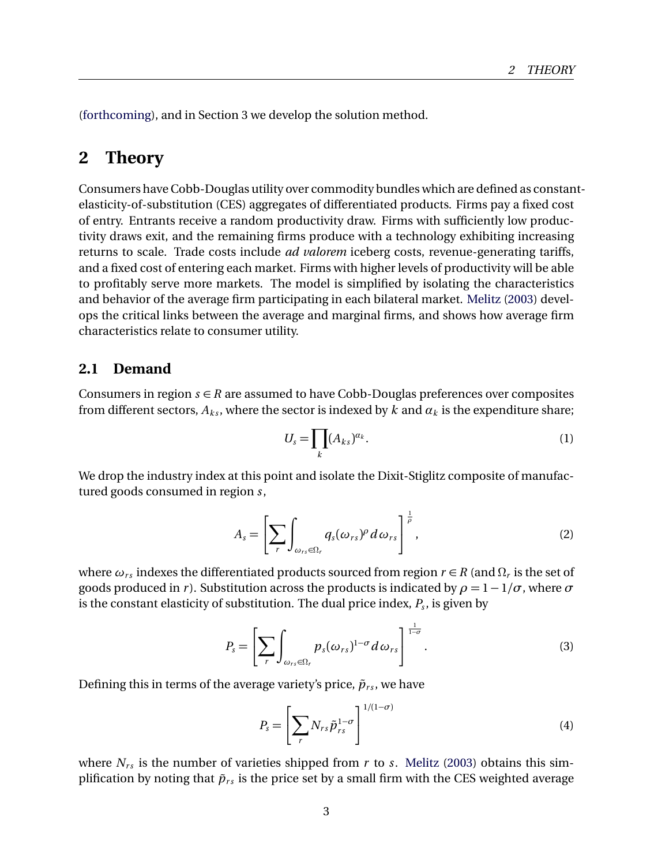[\(forthcoming\)](#page-9-1), and in Section 3 we develop the solution method.

# **2 Theory**

Consumers have Cobb-Douglas utility over commodity bundles which are defined as constantelasticity-of-substitution (CES) aggregates of differentiated products. Firms pay a fixed cost of entry. Entrants receive a random productivity draw. Firms with sufficiently low productivity draws exit, and the remaining firms produce with a technology exhibiting increasing returns to scale. Trade costs include *ad valorem* iceberg costs, revenue-generating tariffs, and a fixed cost of entering each market. Firms with higher levels of productivity will be able to profitably serve more markets. The model is simplified by isolating the characteristics and behavior of the average firm participating in each bilateral market. [Melitz](#page-9-0) [\(2003\)](#page-9-0) develops the critical links between the average and marginal firms, and shows how average firm characteristics relate to consumer utility.

### **2.1 Demand**

Consumers in region  $s \in R$  are assumed to have Cobb-Douglas preferences over composites from different sectors,  $A_k$ , where the sector is indexed by k and  $\alpha_k$  is the expenditure share;

$$
U_s = \prod_k (A_{ks})^{\alpha_k}.
$$
 (1)

We drop the industry index at this point and isolate the Dixit-Stiglitz composite of manufactured goods consumed in region *s*,

$$
A_s = \left[\sum_r \int_{\omega_{rs} \in \Omega_r} q_s(\omega_{rs})^\rho d\omega_{rs}\right]^{\frac{1}{\rho}}, \qquad (2)
$$

where  $\omega_{rs}$  indexes the differentiated products sourced from region  $r \in R$  (and  $\Omega_r$  is the set of goods produced in *r*). Substitution across the products is indicated by  $\rho = 1 - 1/\sigma$ , where  $\sigma$ is the constant elasticity of substitution. The dual price index, *P<sup>s</sup>* , is given by

$$
P_s = \left[\sum_r \int_{\omega_{rs}\in\Omega_r} p_s(\omega_{rs})^{1-\sigma} d\omega_{rs}\right]^{\frac{1}{1-\sigma}}.
$$
 (3)

Defining this in terms of the average variety's price,  $\tilde{p}_{rs}$ , we have

<span id="page-2-0"></span>
$$
P_s = \left[\sum_r N_{rs} \tilde{p}_{rs}^{1-\sigma}\right]^{1/(1-\sigma)}
$$
\n(4)

where  $N_{rs}$  is the number of varieties shipped from  $r$  to  $s$ . [Melitz](#page-9-0) [\(2003\)](#page-9-0) obtains this simplification by noting that  $\tilde{p}_{rs}$  is the price set by a small firm with the CES weighted average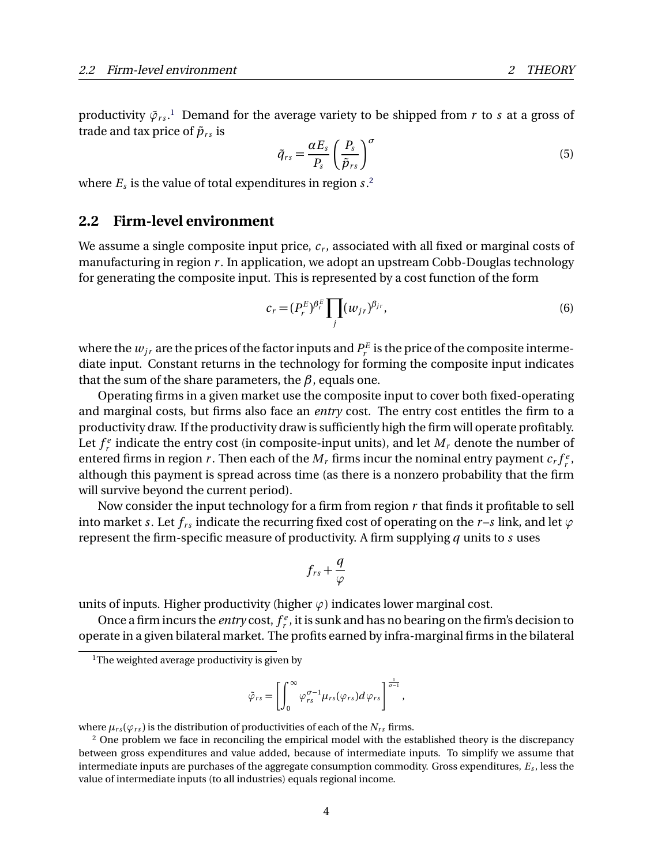productivity  $\tilde{\varphi}_{rs}.$  Demand for the average variety to be shipped from  $r$  to  $s$  at a gross of trade and tax price of  $\tilde{p}_{rs}$  is

<span id="page-3-2"></span>
$$
\tilde{q}_{rs} = \frac{\alpha E_s}{P_s} \left(\frac{P_s}{\tilde{p}_{rs}}\right)^{\sigma} \tag{5}
$$

where  $E_s$  is the value of total expenditures in region  $s$ .<sup>[2](#page-3-1)</sup>

#### **2.2 Firm-level environment**

We assume a single composite input price, *c<sup>r</sup>* , associated with all fixed or marginal costs of manufacturing in region *r* . In application, we adopt an upstream Cobb-Douglas technology for generating the composite input. This is represented by a cost function of the form

<span id="page-3-3"></span>
$$
c_r = (P_r^E)^{\beta_r^E} \prod_j (w_{jr})^{\beta_{jr}},
$$
\n(6)

where the  $w_{jr}$  are the prices of the factor inputs and  $P_r^E$  is the price of the composite intermediate input. Constant returns in the technology for forming the composite input indicates that the sum of the share parameters, the *β*, equals one.

Operating firms in a given market use the composite input to cover both fixed-operating and marginal costs, but firms also face an *entry* cost. The entry cost entitles the firm to a productivity draw. If the productivity draw is sufficiently high the firm will operate profitably. Let  $f_r^e$  indicate the entry cost (in composite-input units), and let  $M_r$  denote the number of entered firms in region *r*. Then each of the  $M_r$  firms incur the nominal entry payment  $c_r f_r^e$ , although this payment is spread across time (as there is a nonzero probability that the firm will survive beyond the current period).

Now consider the input technology for a firm from region *r* that finds it profitable to sell into market *s*. Let  $f_{rs}$  indicate the recurring fixed cost of operating on the *r*-*s* link, and let  $\varphi$ represent the firm-specific measure of productivity. A firm supplying *q* units to *s* uses

$$
f_{rs}+\frac{q}{\varphi}
$$

units of inputs. Higher productivity (higher  $\varphi$ ) indicates lower marginal cost.

Once a firm incurs the *entry* cost,  $f_r^e$ , it is sunk and has no bearing on the firm's decision to operate in a given bilateral market. The profits earned by infra-marginal firms in the bilateral

$$
\tilde{\varphi}_{rs} = \left[ \int_0^\infty \varphi_{rs}^{\sigma-1} \mu_{rs}(\varphi_{rs}) d\varphi_{rs} \right]^{\frac{1}{\sigma-1}},
$$

where  $\mu_{rs}(\varphi_{rs})$  is the distribution of productivities of each of the  $N_{rs}$  firms.

<span id="page-3-0"></span><sup>&</sup>lt;sup>1</sup>The weighted average productivity is given by

<span id="page-3-1"></span><sup>&</sup>lt;sup>2</sup> One problem we face in reconciling the empirical model with the established theory is the discrepancy between gross expenditures and value added, because of intermediate inputs. To simplify we assume that intermediate inputs are purchases of the aggregate consumption commodity. Gross expenditures, *E<sup>s</sup>* , less the value of intermediate inputs (to all industries) equals regional income.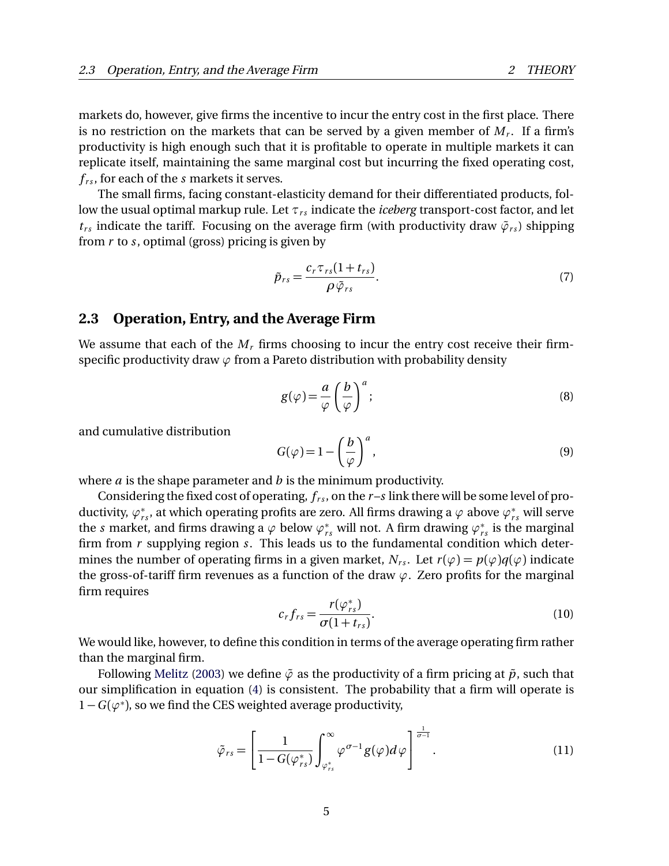markets do, however, give firms the incentive to incur the entry cost in the first place. There is no restriction on the markets that can be served by a given member of *M<sup>r</sup>* . If a firm's productivity is high enough such that it is profitable to operate in multiple markets it can replicate itself, maintaining the same marginal cost but incurring the fixed operating cost,  $f_{rs}$ , for each of the *s* markets it serves.

The small firms, facing constant-elasticity demand for their differentiated products, follow the usual optimal markup rule. Let  $τ_{rs}$  indicate the *iceberg* transport-cost factor, and let  $t_{rs}$  indicate the tariff. Focusing on the average firm (with productivity draw  $\tilde{\varphi}_{rs}$ ) shipping from *r* to *s*, optimal (gross) pricing is given by

<span id="page-4-1"></span>
$$
\tilde{p}_{rs} = \frac{c_r \tau_{rs} (1 + t_{rs})}{\rho \tilde{\varphi}_{rs}}.
$$
\n(7)

#### **2.3 Operation, Entry, and the Average Firm**

We assume that each of the  $M_r$  firms choosing to incur the entry cost receive their firmspecific productivity draw *ϕ* from a Pareto distribution with probability density

$$
g(\varphi) = \frac{a}{\varphi} \left(\frac{b}{\varphi}\right)^a; \tag{8}
$$

and cumulative distribution

$$
G(\varphi) = 1 - \left(\frac{b}{\varphi}\right)^a,\tag{9}
$$

where *a* is the shape parameter and *b* is the minimum productivity.

Considering the fixed cost of operating,  $f_{rs}$ , on the  $r-s$  link there will be some level of productivity,  $\varphi^*_{rs}$ , at which operating profits are zero. All firms drawing a  $\varphi$  above  $\varphi^*_{rs}$  will serve the *s* market, and firms drawing a  $\varphi$  below  $\varphi_{rs}^*$  will not. A firm drawing  $\varphi_{rs}^*$  is the marginal firm from *r* supplying region *s*. This leads us to the fundamental condition which determines the number of operating firms in a given market,  $N_{rs}$ . Let  $r(\varphi) = p(\varphi)q(\varphi)$  indicate the gross-of-tariff firm revenues as a function of the draw  $\varphi$ . Zero profits for the marginal firm requires

<span id="page-4-0"></span>
$$
c_r f_{rs} = \frac{r(\varphi_{rs}^*)}{\sigma(1+t_{rs})}.
$$
\n(10)

We would like, however, to define this condition in terms of the average operating firm rather than the marginal firm.

Following [Melitz](#page-9-0) [\(2003\)](#page-9-0) we define  $\tilde{\varphi}$  as the productivity of a firm pricing at  $\tilde{p}$ , such that our simplification in equation [\(4\)](#page-2-0) is consistent. The probability that a firm will operate is 1 −*G* (*ϕ*<sup>∗</sup> ), so we find the CES weighted average productivity,

$$
\tilde{\varphi}_{rs} = \left[ \frac{1}{1 - G(\varphi_{rs}^*)} \int_{\varphi_{rs}^*}^{\infty} \varphi^{\sigma - 1} g(\varphi) d\varphi \right]^{\frac{1}{\sigma - 1}}.
$$
\n(11)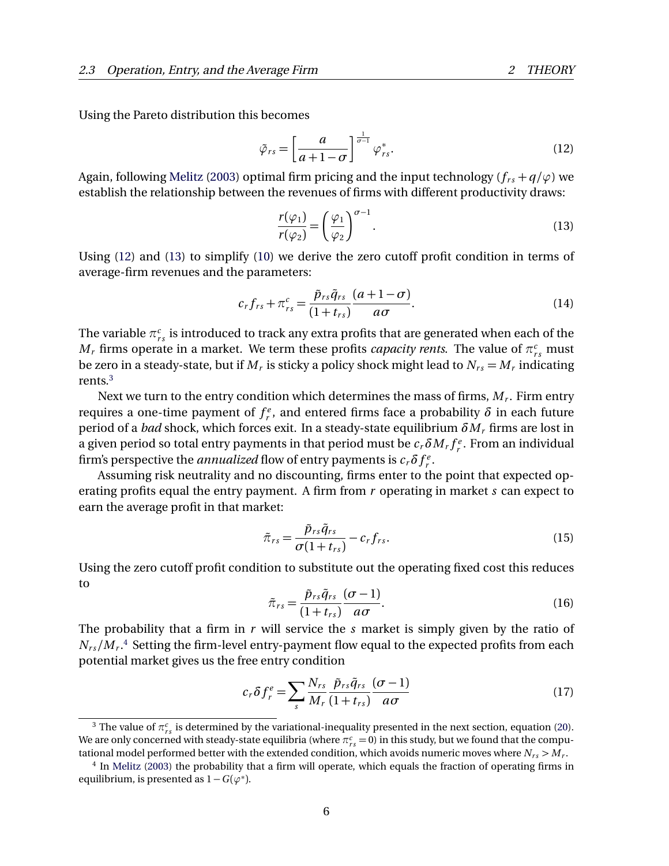Using the Pareto distribution this becomes

<span id="page-5-0"></span>
$$
\tilde{\varphi}_{rs} = \left[\frac{a}{a+1-\sigma}\right]^{\frac{1}{\sigma-1}} \varphi_{rs}^*.
$$
\n(12)

Again, following [Melitz](#page-9-0) [\(2003\)](#page-9-0) optimal firm pricing and the input technology ( $f_{rs} + q/\varphi$ ) we establish the relationship between the revenues of firms with different productivity draws:

<span id="page-5-1"></span>
$$
\frac{r(\varphi_1)}{r(\varphi_2)} = \left(\frac{\varphi_1}{\varphi_2}\right)^{\sigma - 1}.\tag{13}
$$

Using [\(12\)](#page-5-0) and [\(13\)](#page-5-1) to simplify [\(10\)](#page-4-0) we derive the zero cutoff profit condition in terms of average-firm revenues and the parameters:

<span id="page-5-4"></span>
$$
c_r f_{rs} + \pi_{rs}^c = \frac{\tilde{p}_{rs} \tilde{q}_{rs}}{(1+t_{rs})} \frac{(a+1-\sigma)}{a\sigma}.
$$
\n(14)

The variable  $\pi^c_{rs}$  is introduced to track any extra profits that are generated when each of the  $M_r$  firms operate in a market. We term these profits *capacity rents*. The value of  $\pi_{rs}^c$  must be zero in a steady-state, but if  $M_r$  is sticky a policy shock might lead to  $N_{rs}$   $=$   $M_r$  indicating rents.[3](#page-5-2)

Next we turn to the entry condition which determines the mass of firms, *M<sup>r</sup>* . Firm entry requires a one-time payment of  $f_r^e$ , and entered firms face a probability  $\delta$  in each future period of a *bad* shock, which forces exit. In a steady-state equilibrium *δM<sup>r</sup>* firms are lost in a given period so total entry payments in that period must be  $c_r \delta M_r f_r^e.$  From an individual firm's perspective the *annualized* flow of entry payments is  $c_r \delta f_r^e$ .

Assuming risk neutrality and no discounting, firms enter to the point that expected operating profits equal the entry payment. A firm from *r* operating in market *s* can expect to earn the average profit in that market:

$$
\tilde{\pi}_{rs} = \frac{\tilde{p}_{rs}\tilde{q}_{rs}}{\sigma(1+t_{rs})} - c_r f_{rs}.
$$
\n(15)

Using the zero cutoff profit condition to substitute out the operating fixed cost this reduces to

$$
\tilde{\pi}_{rs} = \frac{\tilde{p}_{rs}\tilde{q}_{rs}}{(1+t_{rs})} \frac{(\sigma-1)}{a\sigma}.
$$
\n(16)

The probability that a firm in *r* will service the *s* market is simply given by the ratio of  $N_{rs}/M_r$ .<sup>[4](#page-5-3)</sup> Setting the firm-level entry-payment flow equal to the expected profits from each potential market gives us the free entry condition

<span id="page-5-5"></span>
$$
c_r \delta f_r^e = \sum_s \frac{N_{rs}}{M_r} \frac{\tilde{p}_{rs} \tilde{q}_{rs}}{(1+t_{rs})} \frac{(\sigma - 1)}{a\sigma}
$$
(17)

<span id="page-5-2"></span><sup>&</sup>lt;sup>3</sup> The value of  $\pi_{rs}^c$  is determined by the variational-inequality presented in the next section, equation [\(20\)](#page-7-0). We are only concerned with steady-state equilibria (where  $\pi^c_{rs} =$  0) in this study, but we found that the computational model performed better with the extended condition, which avoids numeric moves where  $N_{rs}$   $>$   $M_{r}$ .

<span id="page-5-3"></span><sup>4</sup> In [Melitz](#page-9-0) [\(2003\)](#page-9-0) the probability that a firm will operate, which equals the fraction of operating firms in equilibrium, is presented as  $1 - G(\varphi^*)$ .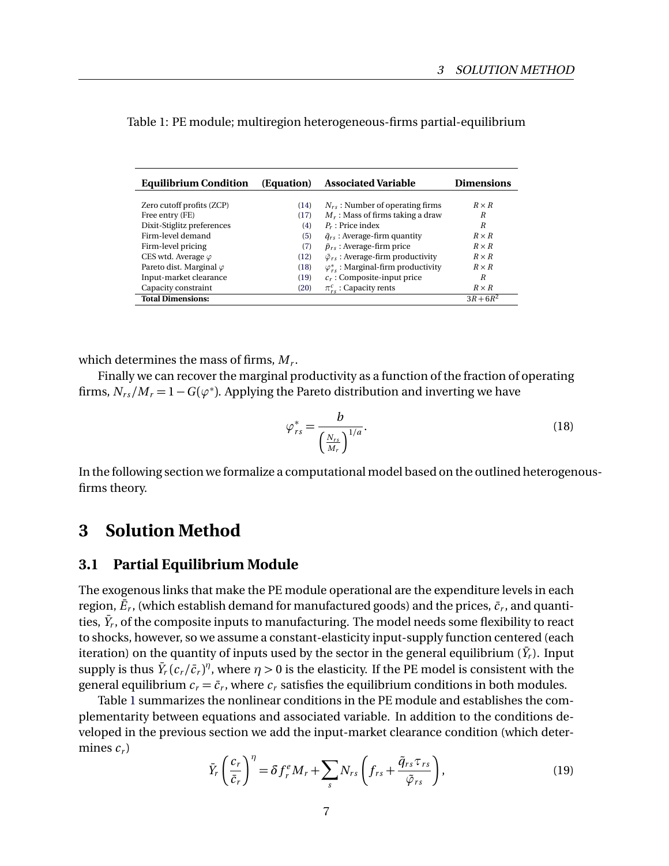| <b>Equilibrium Condition</b>    | (Equation) | <b>Associated Variable</b>                         | <b>Dimensions</b> |
|---------------------------------|------------|----------------------------------------------------|-------------------|
|                                 |            |                                                    |                   |
| Zero cutoff profits (ZCP)       | (14)       | $N_{rs}$ : Number of operating firms               | $R \times R$      |
| Free entry (FE)                 | (17)       | $M_r$ : Mass of firms taking a draw                | R                 |
| Dixit-Stiglitz preferences      | (4)        | $P_r$ : Price index                                | R                 |
| Firm-level demand               | (5)        | $\tilde{q}_{rs}$ : Average-firm quantity           | $R \times R$      |
| Firm-level pricing              | (7)        | $\tilde{p}_{rs}$ : Average-firm price              | $R \times R$      |
| CES wtd. Average $\varphi$      | (12)       | $\tilde{\varphi}_{rs}$ : Average-firm productivity | $R \times R$      |
| Pareto dist. Marginal $\varphi$ | (18)       | $\varphi_{rs}^*$ : Marginal-firm productivity      | $R \times R$      |
| Input-market clearance          | (19)       | $c_r$ : Composite-input price                      | R                 |
| Capacity constraint             | (20)       | $\pi_{rs}^c$ : Capacity rents                      | $R \times R$      |
| <b>Total Dimensions:</b>        |            |                                                    | $3R + 6R^2$       |

<span id="page-6-2"></span>Table 1: PE module; multiregion heterogeneous-firms partial-equilibrium

which determines the mass of firms, *M<sup>r</sup>* .

Finally we can recover the marginal productivity as a function of the fraction of operating firms,  $N_{rs}/M_r = 1 - G(\varphi^*)$ . Applying the Pareto distribution and inverting we have

<span id="page-6-0"></span>
$$
\varphi_{rs}^* = \frac{b}{\left(\frac{N_{rs}}{M_r}\right)^{1/a}}.\tag{18}
$$

In the following section we formalize a computational model based on the outlined heterogenousfirms theory.

### **3 Solution Method**

### **3.1 Partial Equilibrium Module**

The exogenous links that make the PE module operational are the expenditure levels in each region,  $\bar{E}_r$ , (which establish demand for manufactured goods) and the prices,  $\bar{c}_r$ , and quantities,  $\bar{Y}_r$ , of the composite inputs to manufacturing. The model needs some flexibility to react to shocks, however, so we assume a constant-elasticity input-supply function centered (each iteration) on the quantity of inputs used by the sector in the general equilibrium ( $\bar{Y_r}$ ). Input supply is thus  $\bar{Y}_r(c_r/\bar{c}_r)^\eta$ , where  $\eta$   $>$  0 is the elasticity. If the PE model is consistent with the general equilibrium  $c_r = \bar{c}_r$ , where  $c_r$  satisfies the equilibrium conditions in both modules.

Table [1](#page-6-2) summarizes the nonlinear conditions in the PE module and establishes the complementarity between equations and associated variable. In addition to the conditions developed in the previous section we add the input-market clearance condition (which determines  $c_r$ )

<span id="page-6-1"></span>
$$
\bar{Y}_r \left(\frac{c_r}{\bar{c}_r}\right)^{\eta} = \delta f_r^e M_r + \sum_s N_{rs} \left(f_{rs} + \frac{\tilde{q}_{rs} \tau_{rs}}{\tilde{\varphi}_{rs}}\right),\tag{19}
$$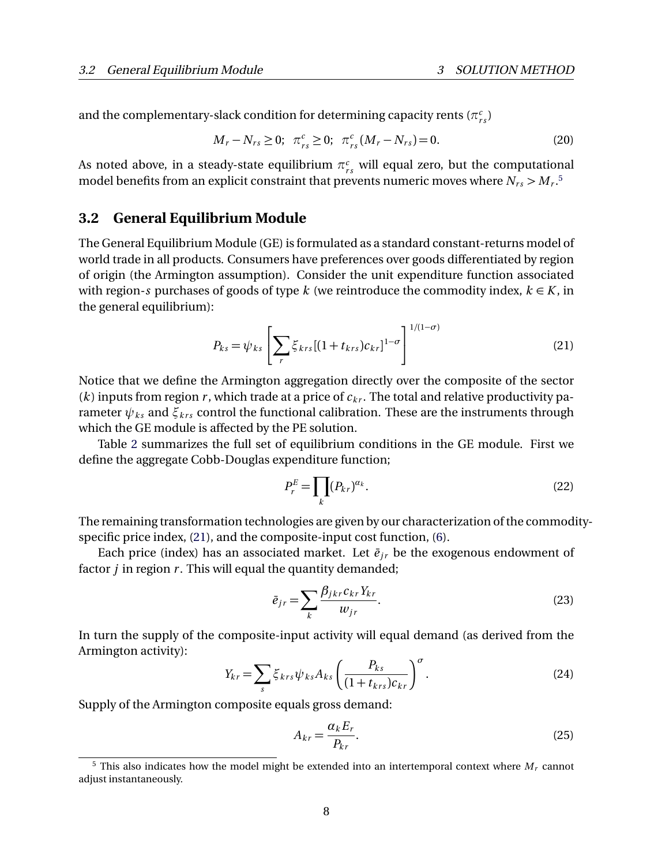and the complementary-slack condition for determining capacity rents  $(\pi_{rs}^c)$ 

<span id="page-7-0"></span>
$$
M_r - N_{rs} \ge 0; \ \pi_{rs}^c \ge 0; \ \pi_{rs}^c (M_r - N_{rs}) = 0. \tag{20}
$$

As noted above, in a steady-state equilibrium  $\pi^c_{rs}$  will equal zero, but the computational model benefits from an explicit constraint that prevents numeric moves where  $N_{rs}$   $>$   $M_{r}$ .<sup>[5](#page-7-1)</sup>

### **3.2 General Equilibrium Module**

The General Equilibrium Module (GE) is formulated as a standard constant-returns model of world trade in all products. Consumers have preferences over goods differentiated by region of origin (the Armington assumption). Consider the unit expenditure function associated with region-*s* purchases of goods of type *k* (we reintroduce the commodity index,  $k \in K$ , in the general equilibrium):

<span id="page-7-2"></span>
$$
P_{ks} = \psi_{ks} \left[ \sum_{r} \xi_{krs} [(1 + t_{krs}) c_{kr}]^{1-\sigma} \right]^{1/(1-\sigma)}
$$
(21)

Notice that we define the Armington aggregation directly over the composite of the sector (*k*) inputs from region *r*, which trade at a price of  $c_{kr}$ . The total and relative productivity parameter  $\psi_{ks}$  and  $\xi_{krs}$  control the functional calibration. These are the instruments through which the GE module is affected by the PE solution.

Table [2](#page-8-0) summarizes the full set of equilibrium conditions in the GE module. First we define the aggregate Cobb-Douglas expenditure function;

<span id="page-7-3"></span>
$$
P_r^E = \prod_k (P_{kr})^{\alpha_k}.
$$
\n(22)

The remaining transformation technologies are given by our characterization of the commodityspecific price index, [\(21\)](#page-7-2), and the composite-input cost function, [\(6\)](#page-3-3).

Each price (index) has an associated market. Let  $\bar{e}_{ir}$  be the exogenous endowment of factor *j* in region *r*. This will equal the quantity demanded;

<span id="page-7-4"></span>
$$
\bar{e}_{jr} = \sum_{k} \frac{\beta_{jkr} c_{kr} Y_{kr}}{w_{jr}}.
$$
\n(23)

In turn the supply of the composite-input activity will equal demand (as derived from the Armington activity):

<span id="page-7-5"></span>
$$
Y_{kr} = \sum_{s} \xi_{krs} \psi_{ks} A_{ks} \left( \frac{P_{ks}}{(1 + t_{krs})c_{kr}} \right)^{\sigma}.
$$
 (24)

Supply of the Armington composite equals gross demand:

<span id="page-7-6"></span>
$$
A_{kr} = \frac{\alpha_k E_r}{P_{kr}}.\tag{25}
$$

<span id="page-7-1"></span> $5$  This also indicates how the model might be extended into an intertemporal context where  $M_r$  cannot adjust instantaneously.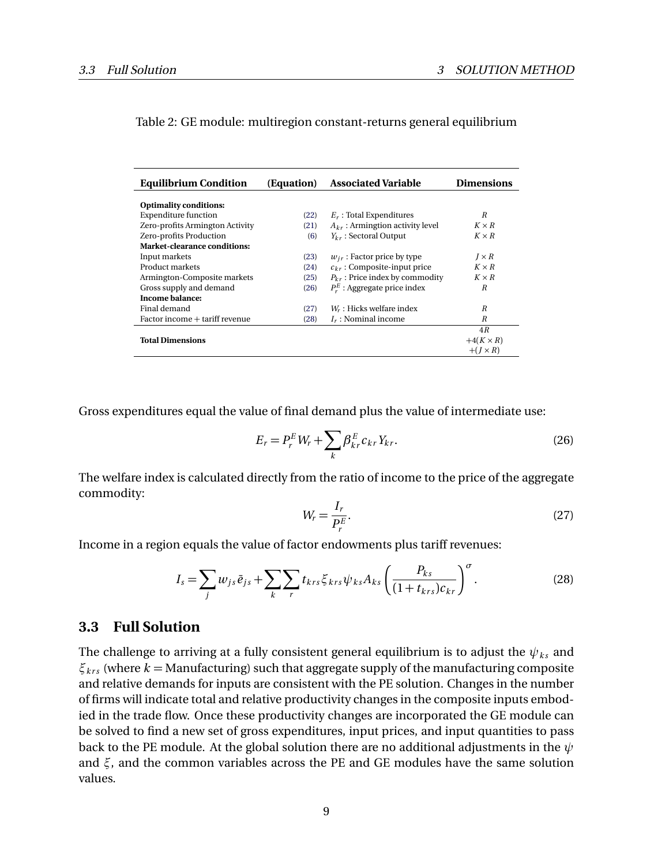| <b>Equilibrium Condition</b>        | (Equation) | <b>Associated Variable</b>           | <b>Dimensions</b> |
|-------------------------------------|------------|--------------------------------------|-------------------|
| <b>Optimality conditions:</b>       |            |                                      |                   |
| <b>Expenditure function</b>         | (22)       | $E_r$ : Total Expenditures           | R                 |
| Zero-profits Armington Activity     | (21)       | $A_{kr}$ : Armingtion activity level | $K \times R$      |
| Zero-profits Production             | (6)        | $Y_{kr}$ : Sectoral Output           | $K \times R$      |
| <b>Market-clearance conditions:</b> |            |                                      |                   |
| Input markets                       | (23)       | $w_{ir}$ : Factor price by type      | $I \times R$      |
| Product markets                     | (24)       | $c_{kr}$ : Composite-input price     | $K \times R$      |
| Armington-Composite markets         | (25)       | $P_{kr}$ : Price index by commodity  | $K \times R$      |
| Gross supply and demand             | (26)       | $P_{r}^{E}$ : Aggregate price index  | R                 |
| Income balance:                     |            |                                      |                   |
| Final demand                        | (27)       | $W_r$ : Hicks welfare index          | R                 |
| Factor income + tariff revenue      | (28)       | $I_r$ : Nominal income               | R                 |
|                                     |            |                                      | 4R                |
| <b>Total Dimensions</b>             |            |                                      | $+4(K \times R)$  |
|                                     |            |                                      | $+(I \times R)$   |

#### <span id="page-8-0"></span>Table 2: GE module: multiregion constant-returns general equilibrium

Gross expenditures equal the value of final demand plus the value of intermediate use:

<span id="page-8-1"></span>
$$
E_r = P_r^E W_r + \sum_k \beta_{kr}^E c_{kr} Y_{kr}.
$$
\n
$$
(26)
$$

The welfare index is calculated directly from the ratio of income to the price of the aggregate commodity:

<span id="page-8-2"></span>
$$
W_r = \frac{I_r}{P_r^E}.\tag{27}
$$

Income in a region equals the value of factor endowments plus tariff revenues:

<span id="page-8-3"></span>
$$
I_s = \sum_j w_{js} \bar{e}_{js} + \sum_k \sum_r t_{krs} \xi_{krs} \psi_{ks} A_{ks} \left( \frac{P_{ks}}{(1 + t_{krs})c_{kr}} \right)^{\sigma}.
$$
 (28)

### **3.3 Full Solution**

The challenge to arriving at a fully consistent general equilibrium is to adjust the  $\psi_{ks}$  and  $\xi_{krs}$  (where  $k =$  Manufacturing) such that aggregate supply of the manufacturing composite and relative demands for inputs are consistent with the PE solution. Changes in the number of firms will indicate total and relative productivity changes in the composite inputs embodied in the trade flow. Once these productivity changes are incorporated the GE module can be solved to find a new set of gross expenditures, input prices, and input quantities to pass back to the PE module. At the global solution there are no additional adjustments in the *ψ* and *ξ*, and the common variables across the PE and GE modules have the same solution values.